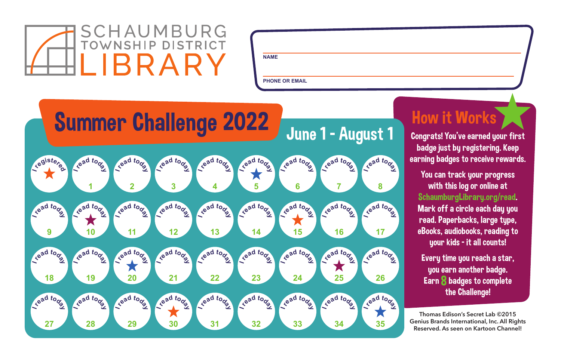

**PHONE OR EMAIL**



## How it Works

Congrats! You've earned your first badge just by registering. Keep earning badges to receive rewards.

You can track your progress with this log or online at SchaumburgLibrary.org/read. Mark off a circle each day you read. Paperbacks, large type, eBooks, audiobooks, reading to your kids – it all counts!

Every time you reach a star, you earn another badge. Earn 8 badges to complete the Challenge!

**Thomas Edison's Secret Lab ©2015 Genius Brands International, Inc. All Rights Reserved. As seen on Kartoon Channel!**